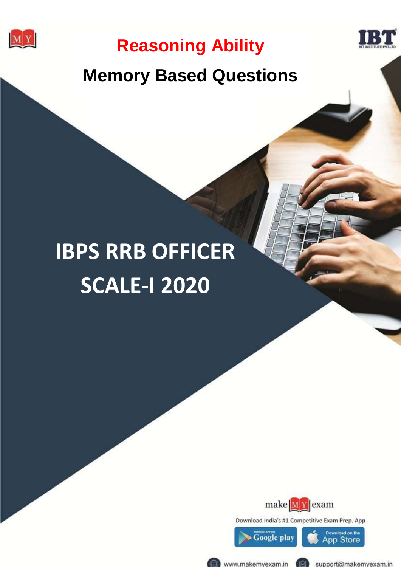



# **Memory Based Questions**

# **IBPS RRB OFFIC** SCALE-I **IBPS RRB OFFICER SCALE-I 2020**



Download India's #1 Competitive Exam Prep. App



www.makemyexam.in (

support@makemyexam.in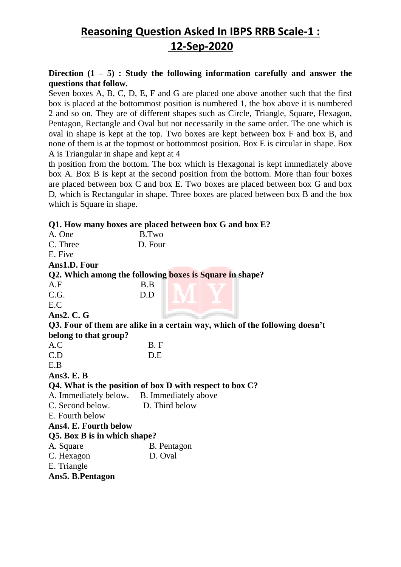### **Direction (1 – 5) : Study the following information carefully and answer the questions that follow.**

Seven boxes A, B, C, D, E, F and G are placed one above another such that the first box is placed at the bottommost position is numbered 1, the box above it is numbered 2 and so on. They are of different shapes such as Circle, Triangle, Square, Hexagon, Pentagon, Rectangle and Oval but not necessarily in the same order. The one which is oval in shape is kept at the top. Two boxes are kept between box F and box B, and none of them is at the topmost or bottommost position. Box E is circular in shape. Box A is Triangular in shape and kept at 4

th position from the bottom. The box which is Hexagonal is kept immediately above box A. Box B is kept at the second position from the bottom. More than four boxes are placed between box C and box E. Two boxes are placed between box G and box D, which is Rectangular in shape. Three boxes are placed between box B and the box which is Square in shape.

#### **Q1. How many boxes are placed between box G and box E?**

| A. One                                     | B.Two                                                                       |
|--------------------------------------------|-----------------------------------------------------------------------------|
| C. Three                                   | D. Four                                                                     |
| E. Five                                    |                                                                             |
| Ans1.D. Four                               |                                                                             |
|                                            | Q2. Which among the following boxes is Square in shape?                     |
| A.F                                        | B.B                                                                         |
| C.G.                                       | D.D                                                                         |
| E.C                                        |                                                                             |
| Ans $2. C. G$                              |                                                                             |
|                                            | Q3. Four of them are alike in a certain way, which of the following doesn't |
| belong to that group?                      |                                                                             |
| A.C                                        | B.F                                                                         |
| C.D                                        | D.E                                                                         |
| E.B                                        |                                                                             |
| Ans $3. E. B$                              |                                                                             |
|                                            | Q4. What is the position of box D with respect to box C?                    |
| A. Immediately below. B. Immediately above |                                                                             |
| C. Second below.                           | D. Third below                                                              |
| E. Fourth below                            |                                                                             |
| Ans4. E. Fourth below                      |                                                                             |
| Q5. Box B is in which shape?               |                                                                             |
| A. Square                                  | B. Pentagon                                                                 |
| C. Hexagon                                 | D. Oval                                                                     |
| E. Triangle                                |                                                                             |
| Ans5. B.Pentagon                           |                                                                             |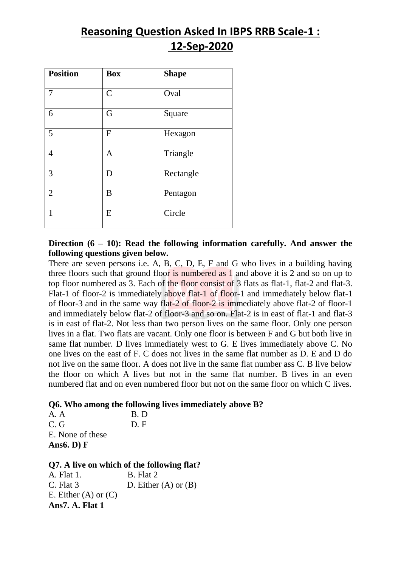| <b>Position</b> | <b>Box</b>    | <b>Shape</b> |
|-----------------|---------------|--------------|
| 7               | $\mathcal{C}$ | Oval         |
| 6               | G             | Square       |
| 5               | $\mathbf{F}$  | Hexagon      |
| $\overline{4}$  | A             | Triangle     |
| $\overline{3}$  | D             | Rectangle    |
| $\overline{2}$  | B             | Pentagon     |
| 1               | E             | Circle       |

### **Direction (6 – 10): Read the following information carefully. And answer the following questions given below.**

There are seven persons i.e. A, B, C, D, E, F and G who lives in a building having three floors such that ground floor is numbered as 1 and above it is 2 and so on up to top floor numbered as 3. Each of the floor consist of 3 flats as flat-1, flat-2 and flat-3. Flat-1 of floor-2 is immediately above flat-1 of floor-1 and immediately below flat-1 of floor-3 and in the same way flat-2 of floor-2 is immediately above flat-2 of floor-1 and immediately below flat-2 of floor-3 and so on. Flat-2 is in east of flat-1 and flat-3 is in east of flat-2. Not less than two person lives on the same floor. Only one person lives in a flat. Two flats are vacant. Only one floor is between F and G but both live in same flat number. D lives immediately west to G. E lives immediately above C. No one lives on the east of F. C does not lives in the same flat number as D. E and D do not live on the same floor. A does not live in the same flat number ass C. B live below the floor on which A lives but not in the same flat number. B lives in an even numbered flat and on even numbered floor but not on the same floor on which C lives.

### **Q6. Who among the following lives immediately above B?**

A. A B. D C. G. D. F. E. None of these **Ans6. D) F**

**Q7. A live on which of the following flat?** 

A. Flat 1. B. Flat 2 C. Flat  $3$  D. Either  $(A)$  or  $(B)$ E. Either  $(A)$  or  $(C)$ **Ans7. A. Flat 1**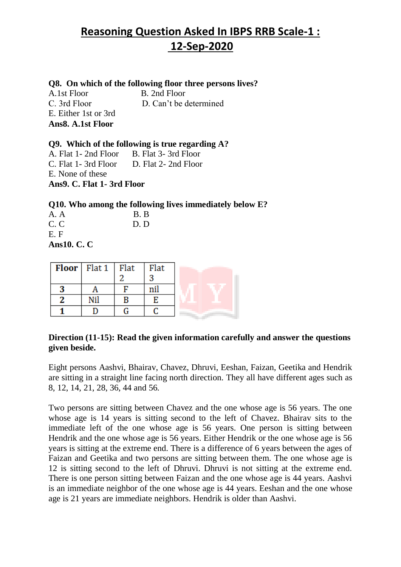#### **Q8. On which of the following floor three persons lives?**

A.1st Floor B. 2nd Floor C. 3rd Floor D. Can't be determined E. Either 1st or 3rd **Ans8. A.1st Floor** 

**Q9. Which of the following is true regarding A?**  A. Flat 1- 2nd Floor B. Flat 3-3rd Floor

C. Flat 1- 3rd Floor D. Flat 2- 2nd Floor E. None of these **Ans9. C. Flat 1- 3rd Floor** 

**Q10. Who among the following lives immediately below E?**

| A. A               | B.B |
|--------------------|-----|
| C.C                | D.D |
| E.F                |     |
| <b>Ans10. C. C</b> |     |

| <b>Floor</b> Flat $1$ Flat | Flat |  |
|----------------------------|------|--|
|                            |      |  |
|                            |      |  |
|                            |      |  |
|                            |      |  |

### **Direction (11-15): Read the given information carefully and answer the questions given beside.**

Eight persons Aashvi, Bhairav, Chavez, Dhruvi, Eeshan, Faizan, Geetika and Hendrik are sitting in a straight line facing north direction. They all have different ages such as 8, 12, 14, 21, 28, 36, 44 and 56.

Two persons are sitting between Chavez and the one whose age is 56 years. The one whose age is 14 years is sitting second to the left of Chavez. Bhairav sits to the immediate left of the one whose age is 56 years. One person is sitting between Hendrik and the one whose age is 56 years. Either Hendrik or the one whose age is 56 years is sitting at the extreme end. There is a difference of 6 years between the ages of Faizan and Geetika and two persons are sitting between them. The one whose age is 12 is sitting second to the left of Dhruvi. Dhruvi is not sitting at the extreme end. There is one person sitting between Faizan and the one whose age is 44 years. Aashvi is an immediate neighbor of the one whose age is 44 years. Eeshan and the one whose age is 21 years are immediate neighbors. Hendrik is older than Aashvi.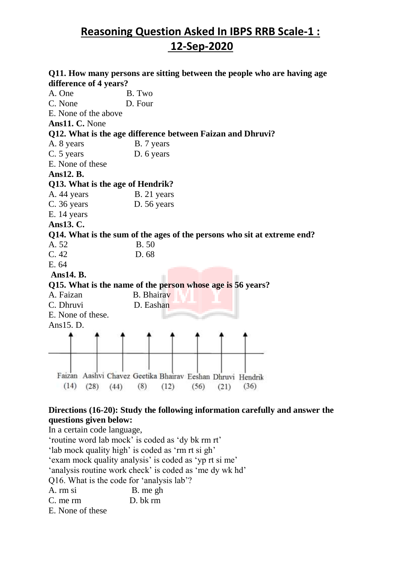|                                  | Q11. How many persons are sitting between the people who are having age                           |
|----------------------------------|---------------------------------------------------------------------------------------------------|
| difference of 4 years?           |                                                                                                   |
| A. One                           | B. Two                                                                                            |
| C. None                          | D. Four                                                                                           |
| E. None of the above             |                                                                                                   |
| Ans11. C. None                   |                                                                                                   |
|                                  | Q12. What is the age difference between Faizan and Dhruvi?                                        |
| A. 8 years                       | B. 7 years                                                                                        |
| C. 5 years                       | D. 6 years                                                                                        |
| E. None of these                 |                                                                                                   |
| Ans12. B.                        |                                                                                                   |
| Q13. What is the age of Hendrik? |                                                                                                   |
| A. 44 years                      | B. 21 years                                                                                       |
| C. 36 years                      | D. 56 years                                                                                       |
| E. 14 years                      |                                                                                                   |
| Ans13. C.                        |                                                                                                   |
|                                  | Q14. What is the sum of the ages of the persons who sit at extreme end?                           |
| A. 52                            | <b>B.50</b>                                                                                       |
| C.42                             | D. 68                                                                                             |
| E. 64                            |                                                                                                   |
| Ans14. B.                        |                                                                                                   |
|                                  | Q15. What is the name of the person whose age is 56 years?                                        |
| A. Faizan                        | <b>B.</b> Bhairav                                                                                 |
| C. Dhruvi                        | D. Eashan                                                                                         |
| E. None of these.                |                                                                                                   |
| Ans15. D.                        |                                                                                                   |
|                                  |                                                                                                   |
| (14)<br>(28)<br>(44)             | Faizan Aashvi Chavez Geetika Bhairav Eeshan Dhruvi Hendrik<br>(8)<br>(36)<br>(12)<br>(56)<br>(21) |

### **Directions (16-20): Study the following information carefully and answer the questions given below:**

In a certain code language, 'routine word lab mock' is coded as 'dy bk rm rt' 'lab mock quality high' is coded as 'rm rt si gh' 'exam mock quality analysis' is coded as 'yp rt si me' 'analysis routine work check' is coded as 'me dy wk hd' Q16. What is the code for 'analysis lab'? A. rm si B. me gh C. me rm D. bk rm E. None of these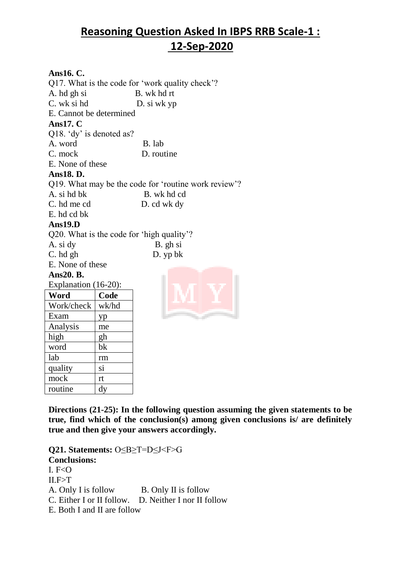### **Ans16. C.**

mock rt routine dy

Q17. What is the code for 'work quality check'? A. hd gh si B. wk hd rt C. wk si hd D. si wk yp E. Cannot be determined **Ans17. C** Q18. 'dy' is denoted as? A. word B. lab C. mock D. routine E. None of these **Ans18. D.** Q19. What may be the code for 'routine work review'? A. si hd bk B. wk hd cd C. hd me cd D. cd wk dy E. hd cd bk **Ans19.D** Q20. What is the code for 'high quality'? A. si dy B. gh si C. hd gh D. yp bk E. None of these **Ans20. B.** Explanation (16-20): **Word Code**  Work/check wk/hd Exam | yp Analysis me high  $\vert$  gh word bk lab rm quality | si

**Directions (21-25): In the following question assuming the given statements to be true, find which of the conclusion(s) among given conclusions is/ are definitely true and then give your answers accordingly.**

**Q21. Statements:** O≤B≥T=D≤J<F>G **Conclusions:** I.  $F < 0$  $II.F > T$ A. Only I is follow B. Only II is follow C. Either I or II follow. D. Neither I nor II follow E. Both I and II are follow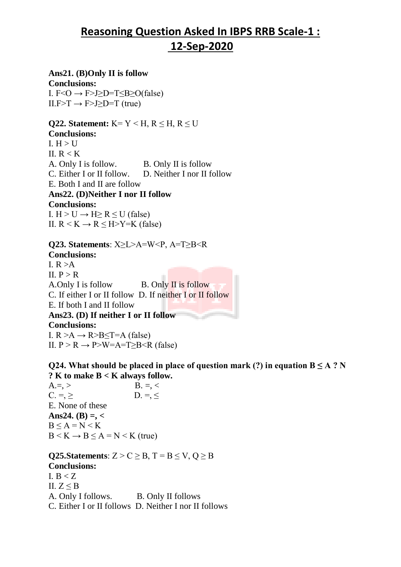### **Ans21. (B)Only II is follow**

**Conclusions:** I.  $F < O \rightarrow F > J > D = T < B > O(false)$  $II.F \rightarrow F \rightarrow I \geq D=T$  (true)

**Q22. Statement:**  $K = Y \leq H, R \leq H, R \leq U$ **Conclusions:** I.  $H > U$ II.  $R < K$ A. Only I is follow. B. Only II is follow C. Either I or II follow. D. Neither I nor II follow E. Both I and II are follow **Ans22. (D)Neither I nor II follow Conclusions:** I.  $H > U \rightarrow H \ge R \le U$  (false) II.  $R \le K \rightarrow R \le H \ge Y=K$  (false)

**Q23. Statements**: X≥L>A=W<P, A=T≥B<R **Conclusions:** I.  $R > A$ II.  $P > R$ A.Only I is follow B. Only II is follow C. If either I or II follow D. If neither I or II follow E. If both I and II follow **Ans23. (D) If neither I or II follow Conclusions:** I.  $R > A \rightarrow R > B \leq T = A$  (false) II.  $P > R \rightarrow P > W = A = T > B < R$  (false)

**Q24.** What should be placed in place of question mark (?) in equation  $B \leq A$  ? N **? K to make B < K always follow.**

A.=, > B. =, <  $C. = \geq$  D. = < E. None of these **Ans24. (B) =, <**  $B < A = N < K$  $B < K \rightarrow B \le A = N < K$  (true)

**Q25.Statements**:  $Z > C \geq B$ ,  $T = B \leq V$ ,  $Q \geq B$ **Conclusions:** I.  $B < Z$ II.  $Z \leq B$ A. Only I follows. B. Only II follows C. Either I or II follows D. Neither I nor II follows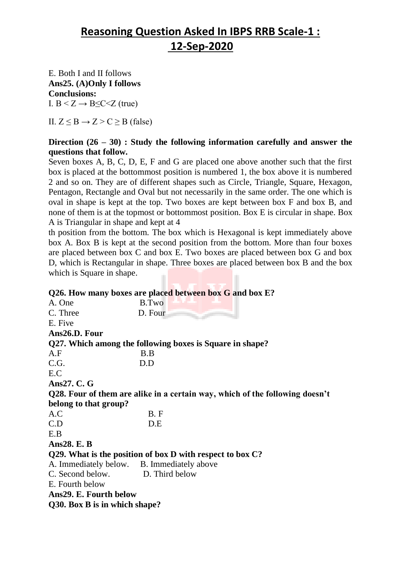E. Both I and II follows **Ans25. (A)Only I follows Conclusions:** I.  $B < Z \rightarrow B \leq C \leq Z$  (true)

II.  $Z \leq B \rightarrow Z \geq C \geq B$  (false)

### **Direction (26 – 30) : Study the following information carefully and answer the questions that follow.**

Seven boxes A, B, C, D, E, F and G are placed one above another such that the first box is placed at the bottommost position is numbered 1, the box above it is numbered 2 and so on. They are of different shapes such as Circle, Triangle, Square, Hexagon, Pentagon, Rectangle and Oval but not necessarily in the same order. The one which is oval in shape is kept at the top. Two boxes are kept between box F and box B, and none of them is at the topmost or bottommost position. Box E is circular in shape. Box A is Triangular in shape and kept at 4

th position from the bottom. The box which is Hexagonal is kept immediately above box A. Box B is kept at the second position from the bottom. More than four boxes are placed between box C and box E. Two boxes are placed between box G and box D, which is Rectangular in shape. Three boxes are placed between box B and the box which is Square in shape.

|                                            | Q26. How many boxes are placed between box G and box E?                      |
|--------------------------------------------|------------------------------------------------------------------------------|
| A. One                                     | B.Two                                                                        |
| C. Three                                   | D. Four                                                                      |
| E. Five                                    |                                                                              |
| Ans26.D. Four                              |                                                                              |
|                                            | Q27. Which among the following boxes is Square in shape?                     |
| A.F                                        | B.B                                                                          |
| C.G.                                       | D.D                                                                          |
| E.C                                        |                                                                              |
| Ans27. C. G                                |                                                                              |
|                                            | Q28. Four of them are alike in a certain way, which of the following doesn't |
| belong to that group?                      |                                                                              |
| A.C                                        | B.F                                                                          |
| C.D                                        | D.E                                                                          |
| E.B                                        |                                                                              |
| Ans28. E. B                                |                                                                              |
|                                            | Q29. What is the position of box D with respect to box C?                    |
| A. Immediately below. B. Immediately above |                                                                              |
| C. Second below.                           | D. Third below                                                               |
| E. Fourth below                            |                                                                              |
| Ans29. E. Fourth below                     |                                                                              |
| Q30. Box B is in which shape?              |                                                                              |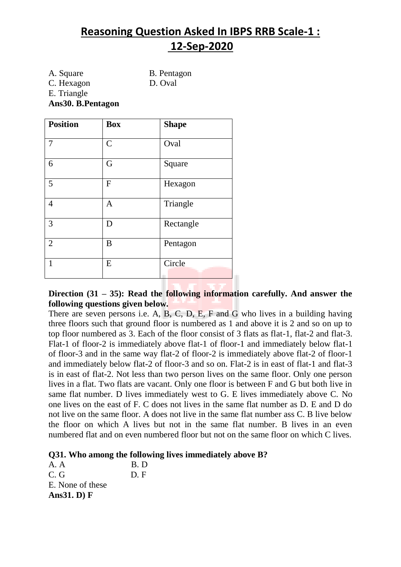A. Square B. Pentagon C. Hexagon D. Oval E. Triangle **Ans30. B.Pentagon**

| <b>Position</b> | <b>Box</b>   | <b>Shape</b> |
|-----------------|--------------|--------------|
| 7               | $\mathsf{C}$ | Oval         |
| 6               | G            | Square       |
| 5               | F            | Hexagon      |
| $\overline{4}$  | $\mathbf{A}$ | Triangle     |
| 3               | D            | Rectangle    |
| $\overline{2}$  | B            | Pentagon     |
| 1               | E            | Circle       |

**Direction (31 – 35): Read the following information carefully. And answer the following questions given below.**

There are seven persons i.e. A, B, C, D, E, F and G who lives in a building having three floors such that ground floor is numbered as 1 and above it is 2 and so on up to top floor numbered as 3. Each of the floor consist of 3 flats as flat-1, flat-2 and flat-3. Flat-1 of floor-2 is immediately above flat-1 of floor-1 and immediately below flat-1 of floor-3 and in the same way flat-2 of floor-2 is immediately above flat-2 of floor-1 and immediately below flat-2 of floor-3 and so on. Flat-2 is in east of flat-1 and flat-3 is in east of flat-2. Not less than two person lives on the same floor. Only one person lives in a flat. Two flats are vacant. Only one floor is between F and G but both live in same flat number. D lives immediately west to G. E lives immediately above C. No one lives on the east of F. C does not lives in the same flat number as D. E and D do not live on the same floor. A does not live in the same flat number ass C. B live below the floor on which A lives but not in the same flat number. B lives in an even numbered flat and on even numbered floor but not on the same floor on which C lives.

#### **Q31. Who among the following lives immediately above B?**

A. A B. D  $C. G$  D. F E. None of these **Ans31. D) F**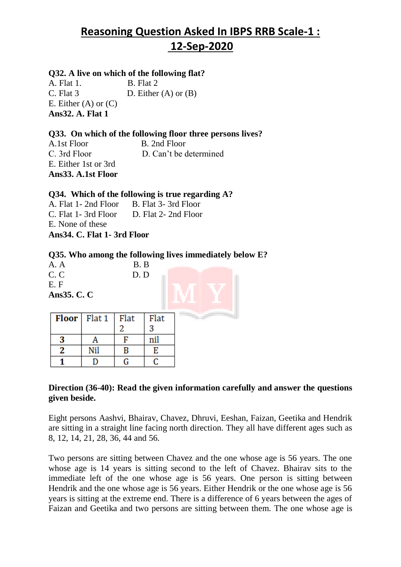### **Q32. A live on which of the following flat?**

A. Flat 1. B. Flat 2 C. Flat  $3$  D. Either  $(A)$  or  $(B)$ E. Either  $(A)$  or  $(C)$ **Ans32. A. Flat 1** 

### **Q33. On which of the following floor three persons lives?**

A.1st Floor B. 2nd Floor C. 3rd Floor D. Can't be determined E. Either 1st or 3rd **Ans33. A.1st Floor** 

#### **Q34. Which of the following is true regarding A?**

A. Flat 1- 2nd Floor B. Flat 3-3rd Floor C. Flat 1- 3rd Floor D. Flat 2- 2nd Floor E. None of these **Ans34. C. Flat 1- 3rd Floor** 

#### **Q35. Who among the following lives immediately below E?**

A. A B. B C. C D. D E. F **Ans35. C. C**

|              | <b>Floor</b>   Flat $1$   Flat |   | <b>Flat</b> |  |
|--------------|--------------------------------|---|-------------|--|
|              |                                |   |             |  |
| -3           |                                |   |             |  |
| $\mathbf{2}$ | Nil                            | В | E           |  |
|              |                                |   |             |  |

### **Direction (36-40): Read the given information carefully and answer the questions given beside.**

Eight persons Aashvi, Bhairav, Chavez, Dhruvi, Eeshan, Faizan, Geetika and Hendrik are sitting in a straight line facing north direction. They all have different ages such as 8, 12, 14, 21, 28, 36, 44 and 56.

Two persons are sitting between Chavez and the one whose age is 56 years. The one whose age is 14 years is sitting second to the left of Chavez. Bhairav sits to the immediate left of the one whose age is 56 years. One person is sitting between Hendrik and the one whose age is 56 years. Either Hendrik or the one whose age is 56 years is sitting at the extreme end. There is a difference of 6 years between the ages of Faizan and Geetika and two persons are sitting between them. The one whose age is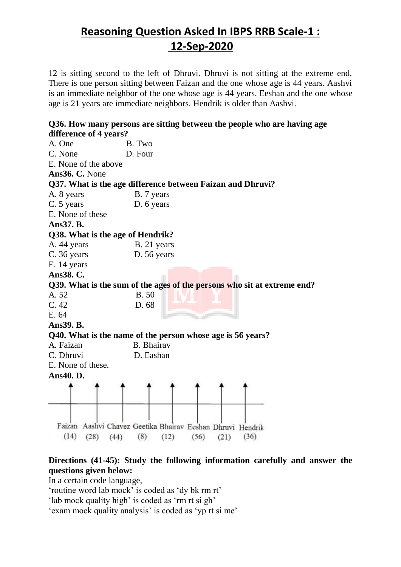12 is sitting second to the left of Dhruvi. Dhruvi is not sitting at the extreme end. There is one person sitting between Faizan and the one whose age is 44 years. Aashvi is an immediate neighbor of the one whose age is 44 years. Eeshan and the one whose age is 21 years are immediate neighbors. Hendrik is older than Aashvi.

| difference of 4 years?           | Q36. How many persons are sitting between the people who are having age                              |
|----------------------------------|------------------------------------------------------------------------------------------------------|
| A. One                           | B. Two                                                                                               |
| C. None                          | D. Four                                                                                              |
| E. None of the above             |                                                                                                      |
| Ans36. C. None                   |                                                                                                      |
|                                  | Q37. What is the age difference between Faizan and Dhruvi?                                           |
| A. 8 years                       | B. 7 years                                                                                           |
| C. 5 years                       | D. 6 years                                                                                           |
| E. None of these                 |                                                                                                      |
| Ans37. B.                        |                                                                                                      |
| Q38. What is the age of Hendrik? |                                                                                                      |
| A. 44 years                      | B. 21 years                                                                                          |
| C. 36 years                      | D. 56 years                                                                                          |
| E. 14 years                      |                                                                                                      |
| Ans38. C.                        |                                                                                                      |
|                                  | Q39. What is the sum of the ages of the persons who sit at extreme end?                              |
| A. 52                            | <b>B.50</b>                                                                                          |
| C.42                             | D. 68                                                                                                |
| E. 64                            |                                                                                                      |
| Ans39. B.                        |                                                                                                      |
|                                  | Q40. What is the name of the person whose age is 56 years?                                           |
| A. Faizan                        | <b>B.</b> Bhairav                                                                                    |
| C. Dhruvi                        | D. Eashan                                                                                            |
| E. None of these.                |                                                                                                      |
| Ans40. D.                        |                                                                                                      |
|                                  |                                                                                                      |
| (14)<br>(28)<br>(44)             | Faizan Aashvi Chavez Geetika Bhairav Eeshan Dhruvi<br>Hendrik<br>(8)<br>(36)<br>(12)<br>(56)<br>(21) |

### **Directions (41-45): Study the following information carefully and answer the questions given below:**

In a certain code language,

'routine word lab mock' is coded as 'dy bk rm rt'

'lab mock quality high' is coded as 'rm rt si gh'

'exam mock quality analysis' is coded as 'yp rt si me'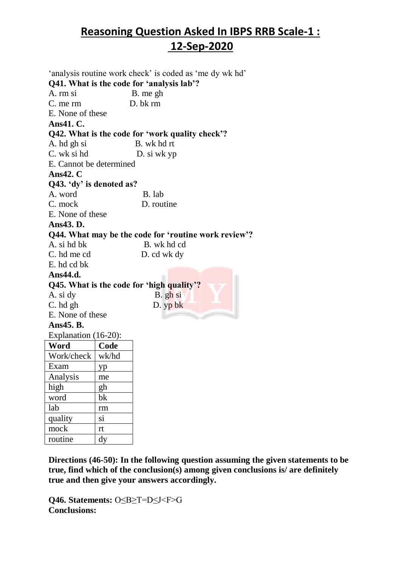'analysis routine work check' is coded as 'me dy wk hd' **Q41. What is the code for 'analysis lab'?** A. rm si B. me gh C. me rm D. bk rm E. None of these **Ans41. C. Q42. What is the code for 'work quality check'?** A. hd gh si B. wk hd rt C. wk si hd D. si wk yp E. Cannot be determined **Ans42. C Q43. 'dy' is denoted as?** A. word B. lab C. mock D. routine E. None of these **Ans43. D. Q44. What may be the code for 'routine work review'?** A. si hd bk B. wk hd cd C. hd me cd D. cd wk dy E. hd cd bk **Ans44.d. Q45. What is the code for 'high quality'?** A. si dy B. gh si  $C.$  hd gh D.  $y \cdot b \cdot k$ E. None of these **Ans45. B.** Explanation (16-20): **Word Code**  Work/check wk/hd Exam | yp Analysis me high gh word bk lab rm quality si mock rt routine dy

**Directions (46-50): In the following question assuming the given statements to be true, find which of the conclusion(s) among given conclusions is/ are definitely true and then give your answers accordingly.**

**Q46. Statements:** O≤B≥T=D≤J<F>G **Conclusions:**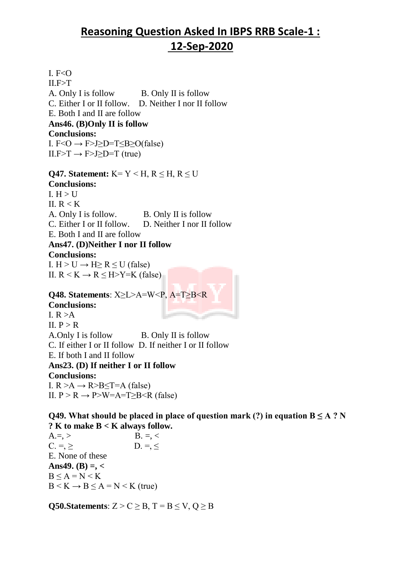I.  $F < O$  $II.F > T$ A. Only I is follow B. Only II is follow C. Either I or II follow. D. Neither I nor II follow E. Both I and II are follow **Ans46. (B)Only II is follow Conclusions:** I.  $F < O \rightarrow F > J > D = T < B > O(false)$  $II.F > T \rightarrow F > J > D = T$  (true)

**Q47. Statement:** K = Y < H, R < H, R < U **Conclusions:** I.  $H > U$ II.  $R < K$ A. Only I is follow. B. Only II is follow C. Either I or II follow. D. Neither I nor II follow E. Both I and II are follow **Ans47. (D)Neither I nor II follow Conclusions:** I.  $H > U \rightarrow H \ge R \le U$  (false) II.  $R \le K \rightarrow R \le H \ge Y = K$  (false)

**Q48. Statements**: X≥L>A=W<P, A=T≥B<R **Conclusions:** I.  $R > A$ II.  $P > R$ A.Only I is follow B. Only II is follow C. If either I or II follow D. If neither I or II follow E. If both I and II follow **Ans23. (D) If neither I or II follow Conclusions:** I.  $R > A \rightarrow R > B \leq T = A$  (false) II.  $P > R \rightarrow P > W = A = T > B < R$  (false)

**Q49.** What should be placed in place of question mark (?) in equation  $B \leq A$  ? N **? K to make B < K always follow.**

 $A = \, > \,$  B.  $= \, < \,$  $C = > \qquad D = <$ E. None of these **Ans49. (B) =, <**  $B < A = N < K$  $B < K \rightarrow B \le A = N < K$  (true)

**Q50.Statements**:  $Z > C \geq B$ ,  $T = B \leq V$ ,  $Q \geq B$